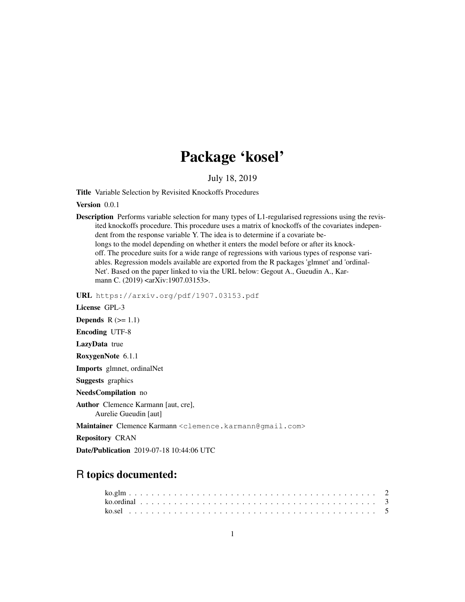# Package 'kosel'

July 18, 2019

Title Variable Selection by Revisited Knockoffs Procedures

Version 0.0.1

Description Performs variable selection for many types of L1-regularised regressions using the revisited knockoffs procedure. This procedure uses a matrix of knockoffs of the covariates independent from the response variable Y. The idea is to determine if a covariate belongs to the model depending on whether it enters the model before or after its knockoff. The procedure suits for a wide range of regressions with various types of response variables. Regression models available are exported from the R packages 'glmnet' and 'ordinal-Net'. Based on the paper linked to via the URL below: Gegout A., Gueudin A., Karmann C. (2019) <arXiv:1907.03153>.

URL https://arxiv.org/pdf/1907.03153.pdf

License GPL-3 Depends  $R$  ( $>= 1.1$ ) Encoding UTF-8 LazyData true RoxygenNote 6.1.1 Imports glmnet, ordinalNet Suggests graphics NeedsCompilation no Author Clemence Karmann [aut, cre], Aurelie Gueudin [aut] Maintainer Clemence Karmann <clemence.karmann@gmail.com> Repository CRAN Date/Publication 2019-07-18 10:44:06 UTC

## R topics documented: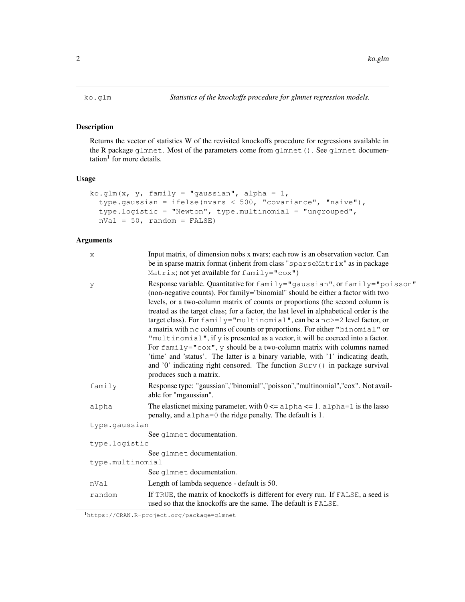#### Description

Returns the vector of statistics W of the revisited knockoffs procedure for regressions available in the R package glmnet. Most of the parameters come from glmnet (). See glmnet documen- $\text{tation}^1$  for more details.

#### Usage

```
ko.glm(x, y, family = "gaussian", alpha = 1,
  type.gaussian = ifelse(nvars < 500, "covariance", "naive"),
  type.logistic = "Newton", type.multinomial = "ungrouped",
  nVal = 50, random = FALSE)
```
## Arguments

| X                | Input matrix, of dimension nobs x nvars; each row is an observation vector. Can<br>be in sparse matrix format (inherit from class "sparseMatrix" as in package<br>Matrix; not yet available for family="cox")                                                                                                                                                                                                                                                                                                                                                                                                                                                                                                                                                                                                                                                     |  |
|------------------|-------------------------------------------------------------------------------------------------------------------------------------------------------------------------------------------------------------------------------------------------------------------------------------------------------------------------------------------------------------------------------------------------------------------------------------------------------------------------------------------------------------------------------------------------------------------------------------------------------------------------------------------------------------------------------------------------------------------------------------------------------------------------------------------------------------------------------------------------------------------|--|
| y                | Response variable. Quantitative for family="gaussian", or family="poisson"<br>(non-negative counts). For family="binomial" should be either a factor with two<br>levels, or a two-column matrix of counts or proportions (the second column is<br>treated as the target class; for a factor, the last level in alphabetical order is the<br>target class). For $f$ amily="multinomial", can be a nc>=2 level factor, or<br>a matrix with nc columns of counts or proportions. For either "binomial" or<br>"multinomial", if y is presented as a vector, it will be coerced into a factor.<br>For $family="cos"$ , y should be a two-column matrix with columns named<br>'time' and 'status'. The latter is a binary variable, with '1' indicating death,<br>and '0' indicating right censored. The function Surv() in package survival<br>produces such a matrix. |  |
| family           | Response type: "gaussian", "binomial", "poisson", "multinomial", "cox". Not avail-<br>able for "mgaussian".                                                                                                                                                                                                                                                                                                                                                                                                                                                                                                                                                                                                                                                                                                                                                       |  |
| alpha            | The elasticnet mixing parameter, with $0 \le a \le b$ alpha $\le 1$ . alpha $= 1$ is the lasso<br>penalty, and $a \,$ l pha=0 the ridge penalty. The default is 1.                                                                                                                                                                                                                                                                                                                                                                                                                                                                                                                                                                                                                                                                                                |  |
| type.gaussian    |                                                                                                                                                                                                                                                                                                                                                                                                                                                                                                                                                                                                                                                                                                                                                                                                                                                                   |  |
|                  | See glmnet documentation.                                                                                                                                                                                                                                                                                                                                                                                                                                                                                                                                                                                                                                                                                                                                                                                                                                         |  |
| type.logistic    |                                                                                                                                                                                                                                                                                                                                                                                                                                                                                                                                                                                                                                                                                                                                                                                                                                                                   |  |
| type.multinomial | See glmnet documentation.                                                                                                                                                                                                                                                                                                                                                                                                                                                                                                                                                                                                                                                                                                                                                                                                                                         |  |
|                  | See qlmnet documentation.                                                                                                                                                                                                                                                                                                                                                                                                                                                                                                                                                                                                                                                                                                                                                                                                                                         |  |
| nVal             | Length of lambda sequence - default is 50.                                                                                                                                                                                                                                                                                                                                                                                                                                                                                                                                                                                                                                                                                                                                                                                                                        |  |
| random           | If TRUE, the matrix of knockoffs is different for every run. If FALSE, a seed is<br>used so that the knockoffs are the same. The default is FALSE.                                                                                                                                                                                                                                                                                                                                                                                                                                                                                                                                                                                                                                                                                                                |  |

<sup>1</sup>https://CRAN.R-project.org/package=glmnet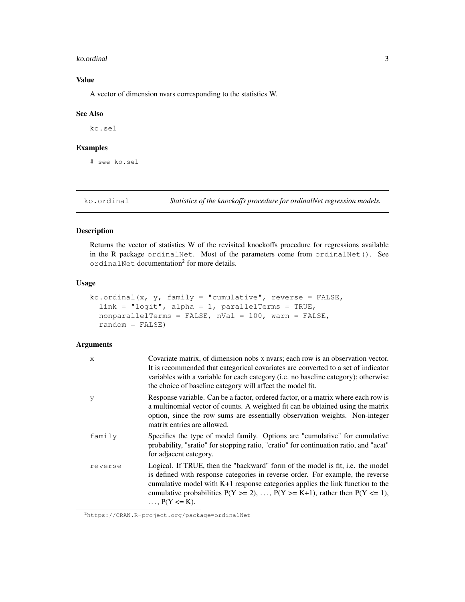#### ko.ordinal 3

## Value

A vector of dimension nvars corresponding to the statistics W.

#### See Also

ko.sel

#### Examples

# see ko.sel

ko.ordinal *Statistics of the knockoffs procedure for ordinalNet regression models.*

## Description

Returns the vector of statistics W of the revisited knockoffs procedure for regressions available in the R package ordinalNet. Most of the parameters come from ordinalNet(). See ordinalNet documentation<sup>2</sup> for more details.

#### Usage

```
ko.ordinal(x, y, family = "cumulative", reverse = FALSE,
  link = "logit", alpha = 1, parallelTerms = TRUE,
  nonparallelTerms = FALSE, nVal = 100, warn = FALSE,
  random = FALSE)
```
### Arguments

| $\boldsymbol{\mathsf{x}}$ | Covariate matrix, of dimension nobs x nvars; each row is an observation vector.<br>It is recommended that categorical covariates are converted to a set of indicator<br>variables with a variable for each category ( <i>i.e.</i> no baseline category); otherwise<br>the choice of baseline category will affect the model fit.                                           |
|---------------------------|----------------------------------------------------------------------------------------------------------------------------------------------------------------------------------------------------------------------------------------------------------------------------------------------------------------------------------------------------------------------------|
| y                         | Response variable. Can be a factor, ordered factor, or a matrix where each row is<br>a multinomial vector of counts. A weighted fit can be obtained using the matrix<br>option, since the row sums are essentially observation weights. Non-integer<br>matrix entries are allowed.                                                                                         |
| family                    | Specifies the type of model family. Options are "cumulative" for cumulative<br>probability, "sratio" for stopping ratio, "cratio" for continuation ratio, and "acat"<br>for adjacent category.                                                                                                                                                                             |
| reverse                   | Logical. If TRUE, then the "backward" form of the model is fit, i.e. the model<br>is defined with response categories in reverse order. For example, the reverse<br>cumulative model with $K+1$ response categories applies the link function to the<br>cumulative probabilities $P(Y \ge 2)$ , , $P(Y \ge K+1)$ , rather then $P(Y \le 1)$ ,<br>$\ldots$ , $P(Y \le K)$ . |

<sup>2</sup>https://CRAN.R-project.org/package=ordinalNet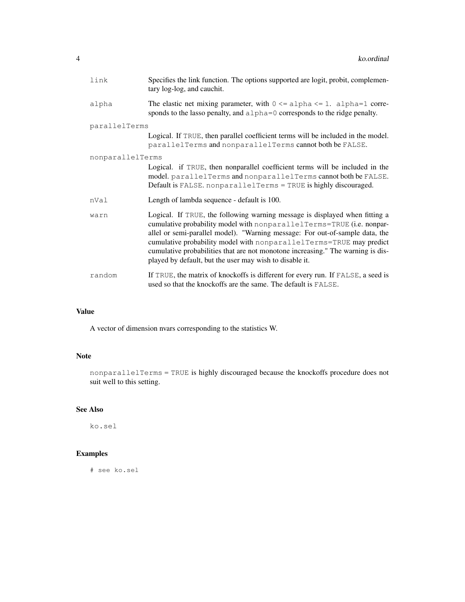| link             | Specifies the link function. The options supported are logit, probit, complemen-<br>tary log-log, and cauchit.                                                                                                                                                                                                                                                                                                                                            |  |
|------------------|-----------------------------------------------------------------------------------------------------------------------------------------------------------------------------------------------------------------------------------------------------------------------------------------------------------------------------------------------------------------------------------------------------------------------------------------------------------|--|
| alpha            | The elastic net mixing parameter, with $0 \le a \le b \le 1$ . alpha=1 corre-<br>sponds to the lasso penalty, and alpha=0 corresponds to the ridge penalty.                                                                                                                                                                                                                                                                                               |  |
| parallelTerms    |                                                                                                                                                                                                                                                                                                                                                                                                                                                           |  |
|                  | Logical. If TRUE, then parallel coefficient terms will be included in the model.<br>parallelTerms and nonparallelTerms cannot both be FALSE.                                                                                                                                                                                                                                                                                                              |  |
| nonparallelTerms |                                                                                                                                                                                                                                                                                                                                                                                                                                                           |  |
|                  | Logical. if TRUE, then nonparallel coefficient terms will be included in the<br>model. parallelTerms and nonparallelTerms cannot both be FALSE.<br>Default is FALSE. nonparallelTerms = TRUE is highly discouraged.                                                                                                                                                                                                                                       |  |
| nVal             | Length of lambda sequence - default is 100.                                                                                                                                                                                                                                                                                                                                                                                                               |  |
| warn             | Logical. If TRUE, the following warning message is displayed when fitting a<br>cumulative probability model with nonparallelTerms=TRUE (i.e. nonpar-<br>allel or semi-parallel model). "Warning message: For out-of-sample data, the<br>cumulative probability model with nonparallelTerms=TRUE may predict<br>cumulative probabilities that are not monotone increasing." The warning is dis-<br>played by default, but the user may wish to disable it. |  |
| random           | If TRUE, the matrix of knockoffs is different for every run. If FALSE, a seed is<br>used so that the knockoffs are the same. The default is FALSE.                                                                                                                                                                                                                                                                                                        |  |

## Value

A vector of dimension nvars corresponding to the statistics W.

## Note

nonparallelTerms = TRUE is highly discouraged because the knockoffs procedure does not suit well to this setting.

## See Also

ko.sel

## Examples

# see ko.sel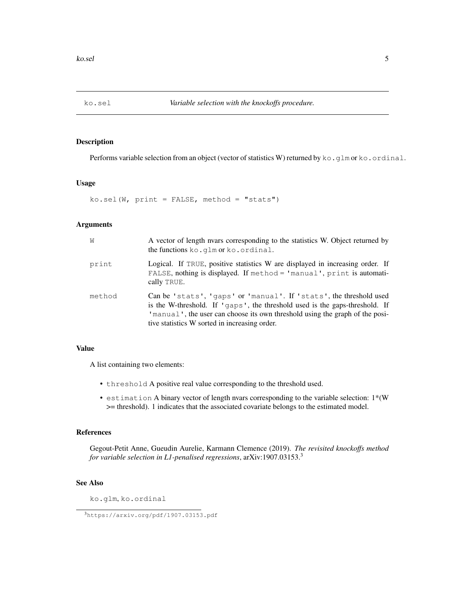### Description

Performs variable selection from an object (vector of statistics W) returned by  $k \circ g \cdot \text{g} \cdot \text{m}$  or  $k \circ g \cdot \text{c}$  or  $\text{d} \cdot \text{m}$ .

#### Usage

 $ko.sel(W, print = FALSE, method = "stats")$ 

#### Arguments

| W      | A vector of length nyars corresponding to the statistics W. Object returned by<br>the functions ko. qlm or ko. ordinal.                                                                                                                                                            |
|--------|------------------------------------------------------------------------------------------------------------------------------------------------------------------------------------------------------------------------------------------------------------------------------------|
| print  | Logical. If TRUE, positive statistics W are displayed in increasing order. If<br>FALSE, nothing is displayed. If method = 'manual', print is automati-<br>cally TRUE.                                                                                                              |
| method | Can be 'stats', 'gaps' or 'manual'. If 'stats', the threshold used<br>is the W-threshold. If 'qaps', the threshold used is the gaps-threshold. If<br>'manual', the user can choose its own threshold using the graph of the posi-<br>tive statistics W sorted in increasing order. |

#### Value

A list containing two elements:

- threshold A positive real value corresponding to the threshold used.
- estimation A binary vector of length nvars corresponding to the variable selection: 1\*(W >= threshold). 1 indicates that the associated covariate belongs to the estimated model.

#### References

Gegout-Petit Anne, Gueudin Aurelie, Karmann Clemence (2019). *The revisited knockoffs method for variable selection in L1-penalised regressions*, arXiv:1907.03153.<sup>3</sup>

#### See Also

ko.glm, ko.ordinal

<sup>3</sup>https://arxiv.org/pdf/1907.03153.pdf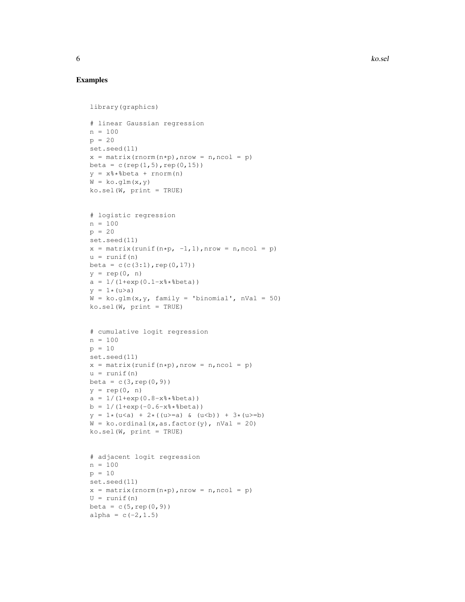## Examples

```
library(graphics)
# linear Gaussian regression
n = 100p = 20set.seed(11)
x = matrix(rnorm(n * p), nrow = n, ncol = p)
beta = c(rep(1,5), rep(0,15))
y = x%*%beta + rnorm(n)
W = ko.glm(x,y)ko.sel(W, print = TRUE)# logistic regression
n = 100p = 20set.seed(11)
x = matrix(runit(n*p, -1, 1), nrow = n, ncol = p)u = runif(n)beta = c(c(3:1), rep(0,17))y = rep(0, n)a = 1/(1+exp(0.1-x*)+k)y = 1 * (u > a)W = ko.glm(x, y, family = 'binomial', nVal = 50)ko.sel(W, print = TRUE)# cumulative logit regression
n = 100p = 10set.seed(11)
x = matrix(runit(n*p),nrow = n,ncol = p)u = runif(n)beta = c(3, rep(0, 9))y = rep(0, n)a = 1/(1+exp(0.8-x*)+k)b = 1/(1+exp(-0.6-x)*|theta)y = 1*(u \le a) + 2*((u \ge a) \& (u \le b)) + 3*(u \ge b)W = ko.ordinal(x, as.factor(y), nVal = 20)ko.sel(W, print = TRUE)
# adjacent logit regression
n = 100
p = 10set.seed(11)
x = matrix( {from(n*p), nrow = n, ncol = p})U = runif(n)beta = c(5, rep(0, 9))alpha = c(-2, 1.5)
```